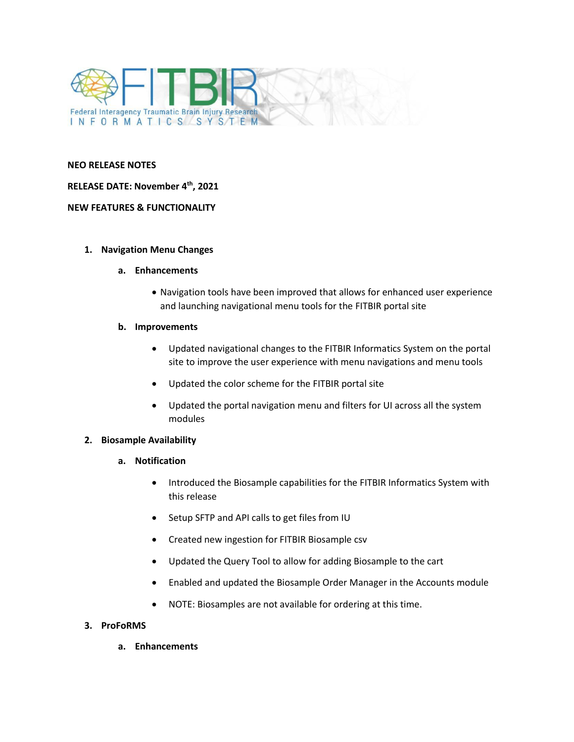

#### **NEO RELEASE NOTES**

## **RELEASE DATE: November 4 th, 2021**

### **NEW FEATURES & FUNCTIONALITY**

#### **1. Navigation Menu Changes**

#### **a. Enhancements**

• Navigation tools have been improved that allows for enhanced user experience and launching navigational menu tools for the FITBIR portal site

#### **b. Improvements**

- Updated navigational changes to the FITBIR Informatics System on the portal site to improve the user experience with menu navigations and menu tools
- Updated the color scheme for the FITBIR portal site
- Updated the portal navigation menu and filters for UI across all the system modules

## **2. Biosample Availability**

- **a. Notification**
	- Introduced the Biosample capabilities for the FITBIR Informatics System with this release
	- Setup SFTP and API calls to get files from IU
	- Created new ingestion for FITBIR Biosample csv
	- Updated the Query Tool to allow for adding Biosample to the cart
	- Enabled and updated the Biosample Order Manager in the Accounts module
	- NOTE: Biosamples are not available for ordering at this time.

## **3. ProFoRMS**

**a. Enhancements**